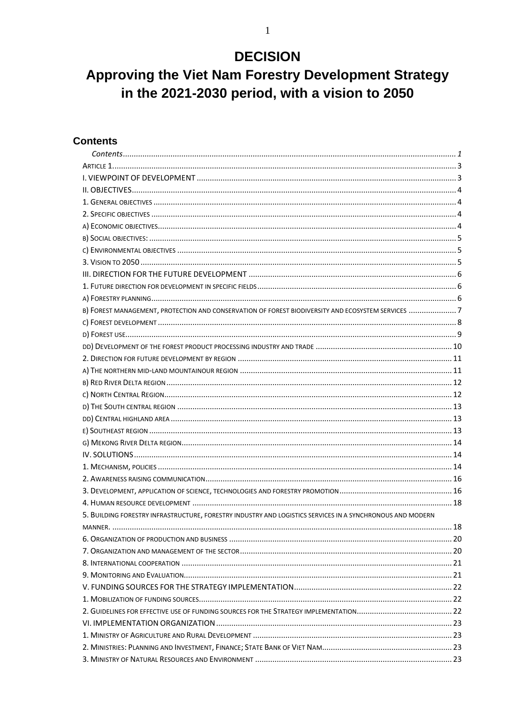### **DECISION**

### Approving the Viet Nam Forestry Development Strategy in the 2021-2030 period, with a vision to 2050

#### <span id="page-0-0"></span>**Contents**

| B) FOREST MANAGEMENT, PROTECTION AND CONSERVATION OF FOREST BIODIVERSITY AND ECOSYSTEM SERVICES 7         |  |
|-----------------------------------------------------------------------------------------------------------|--|
|                                                                                                           |  |
|                                                                                                           |  |
|                                                                                                           |  |
|                                                                                                           |  |
|                                                                                                           |  |
|                                                                                                           |  |
|                                                                                                           |  |
|                                                                                                           |  |
|                                                                                                           |  |
|                                                                                                           |  |
|                                                                                                           |  |
|                                                                                                           |  |
|                                                                                                           |  |
|                                                                                                           |  |
|                                                                                                           |  |
|                                                                                                           |  |
| 5. BUILDING FORESTRY INFRASTRUCTURE, FORESTRY INDUSTRY AND LOGISTICS SERVICES IN A SYNCHRONOUS AND MODERN |  |
|                                                                                                           |  |
|                                                                                                           |  |
|                                                                                                           |  |
|                                                                                                           |  |
|                                                                                                           |  |
|                                                                                                           |  |
|                                                                                                           |  |
|                                                                                                           |  |
|                                                                                                           |  |
|                                                                                                           |  |
|                                                                                                           |  |
|                                                                                                           |  |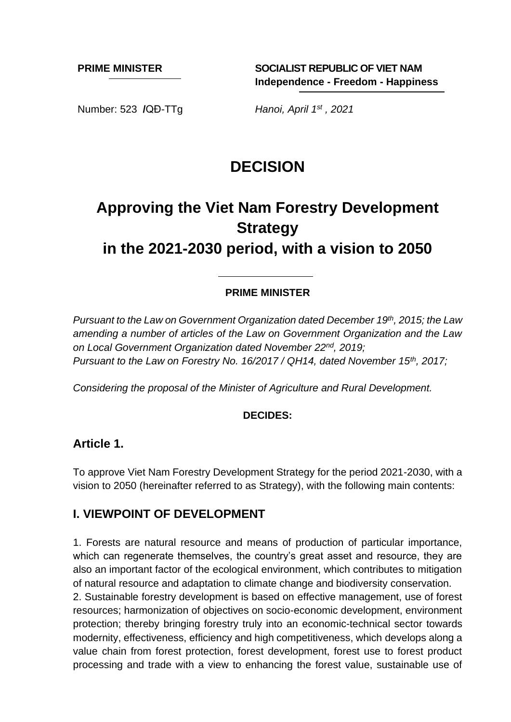**PRIME MINISTER SOCIALIST REPUBLIC OF VIET NAM Independence - Freedom - Happiness**

Number: 523 **/**QĐ-TTg *Hanoi, April 1st*

Hanoi, April 1st, 2021

## **DECISION**

# **Approving the Viet Nam Forestry Development Strategy**

**in the 2021-2030 period, with a vision to 2050**

#### **PRIME MINISTER**

*Pursuant to the Law on Government Organization dated December 19th, 2015; the Law amending a number of articles of the Law on Government Organization and the Law on Local Government Organization dated November 22nd , 2019; Pursuant to the Law on Forestry No. 16/2017 / QH14, dated November 15th, 2017;*

*Considering the proposal of the Minister of Agriculture and Rural Development.*

#### **DECIDES:**

#### <span id="page-2-0"></span>**Article 1.**

To approve Viet Nam Forestry Development Strategy for the period 2021-2030, with a vision to 2050 (hereinafter referred to as Strategy), with the following main contents:

#### <span id="page-2-1"></span>**I. VIEWPOINT OF DEVELOPMENT**

1. Forests are natural resource and means of production of particular importance, which can regenerate themselves, the country's great asset and resource, they are also an important factor of the ecological environment, which contributes to mitigation of natural resource and adaptation to climate change and biodiversity conservation. 2. Sustainable forestry development is based on effective management, use of forest resources; harmonization of objectives on socio-economic development, environment protection; thereby bringing forestry truly into an economic-technical sector towards modernity, effectiveness, efficiency and high competitiveness, which develops along a value chain from forest protection, forest development, forest use to forest product processing and trade with a view to enhancing the forest value, sustainable use of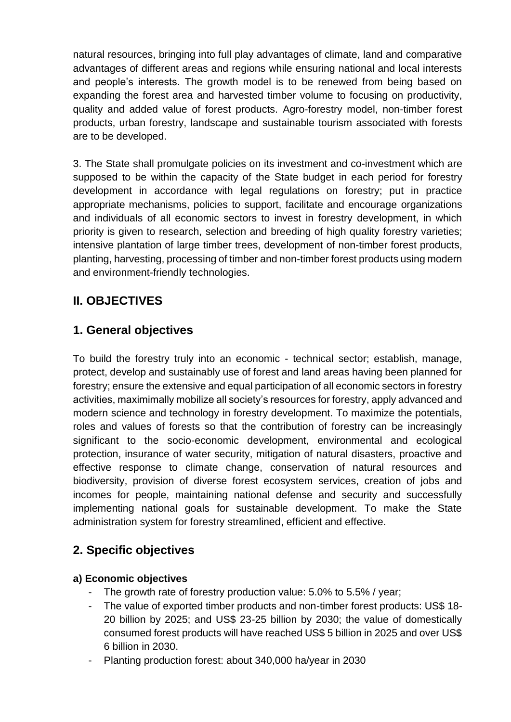natural resources, bringing into full play advantages of climate, land and comparative advantages of different areas and regions while ensuring national and local interests and people's interests. The growth model is to be renewed from being based on expanding the forest area and harvested timber volume to focusing on productivity, quality and added value of forest products. Agro-forestry model, non-timber forest products, urban forestry, landscape and sustainable tourism associated with forests are to be developed.

3. The State shall promulgate policies on its investment and co-investment which are supposed to be within the capacity of the State budget in each period for forestry development in accordance with legal regulations on forestry; put in practice appropriate mechanisms, policies to support, facilitate and encourage organizations and individuals of all economic sectors to invest in forestry development, in which priority is given to research, selection and breeding of high quality forestry varieties; intensive plantation of large timber trees, development of non-timber forest products, planting, harvesting, processing of timber and non-timber forest products using modern and environment-friendly technologies.

### <span id="page-3-0"></span>**II. OBJECTIVES**

### <span id="page-3-1"></span>**1. General objectives**

To build the forestry truly into an economic - technical sector; establish, manage, protect, develop and sustainably use of forest and land areas having been planned for forestry; ensure the extensive and equal participation of all economic sectors in forestry activities, maximimally mobilize all society's resources for forestry, apply advanced and modern science and technology in forestry development. To maximize the potentials, roles and values of forests so that the contribution of forestry can be increasingly significant to the socio-economic development, environmental and ecological protection, insurance of water security, mitigation of natural disasters, proactive and effective response to climate change, conservation of natural resources and biodiversity, provision of diverse forest ecosystem services, creation of jobs and incomes for people, maintaining national defense and security and successfully implementing national goals for sustainable development. To make the State administration system for forestry streamlined, efficient and effective.

### <span id="page-3-2"></span>**2. Specific objectives**

#### <span id="page-3-3"></span>**a) Economic objectives**

- The growth rate of forestry production value: 5.0% to 5.5% / year;
- The value of exported timber products and non-timber forest products: US\$ 18- 20 billion by 2025; and US\$ 23-25 billion by 2030; the value of domestically consumed forest products will have reached US\$ 5 billion in 2025 and over US\$ 6 billion in 2030.
- Planting production forest: about 340,000 ha/year in 2030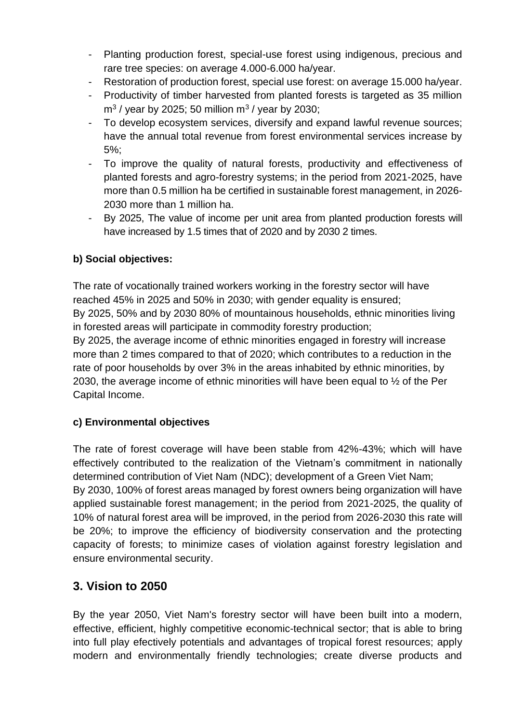- Planting production forest, special-use forest using indigenous, precious and rare tree species: on average 4.000-6.000 ha/year.
- Restoration of production forest, special use forest: on average 15.000 ha/year.
- Productivity of timber harvested from planted forests is targeted as 35 million m<sup>3</sup> / year by 2025; 50 million m<sup>3</sup> / year by 2030;
- To develop ecosystem services, diversify and expand lawful revenue sources; have the annual total revenue from forest environmental services increase by 5%;
- To improve the quality of natural forests, productivity and effectiveness of planted forests and agro-forestry systems; in the period from 2021-2025, have more than 0.5 million ha be certified in sustainable forest management, in 2026- 2030 more than 1 million ha.
- By 2025, The value of income per unit area from planted production forests will have increased by 1.5 times that of 2020 and by 2030 2 times.

### <span id="page-4-0"></span>**b) Social objectives:**

The rate of vocationally trained workers working in the forestry sector will have reached 45% in 2025 and 50% in 2030; with gender equality is ensured; By 2025, 50% and by 2030 80% of mountainous households, ethnic minorities living in forested areas will participate in commodity forestry production; By 2025, the average income of ethnic minorities engaged in forestry will increase more than 2 times compared to that of 2020; which contributes to a reduction in the rate of poor households by over 3% in the areas inhabited by ethnic minorities, by 2030, the average income of ethnic minorities will have been equal to ½ of the Per

Capital Income.

### <span id="page-4-1"></span>**c) Environmental objectives**

The rate of forest coverage will have been stable from 42%-43%; which will have effectively contributed to the realization of the Vietnam's commitment in nationally determined contribution of Viet Nam (NDC); development of a Green Viet Nam; By 2030, 100% of forest areas managed by forest owners being organization will have applied sustainable forest management; in the period from 2021-2025, the quality of 10% of natural forest area will be improved, in the period from 2026-2030 this rate will be 20%; to improve the efficiency of biodiversity conservation and the protecting capacity of forests; to minimize cases of violation against forestry legislation and ensure environmental security.

### <span id="page-4-2"></span>**3. Vision to 2050**

By the year 2050, Viet Nam's forestry sector will have been built into a modern, effective, efficient, highly competitive economic-technical sector; that is able to bring into full play efectively potentials and advantages of tropical forest resources; apply modern and environmentally friendly technologies; create diverse products and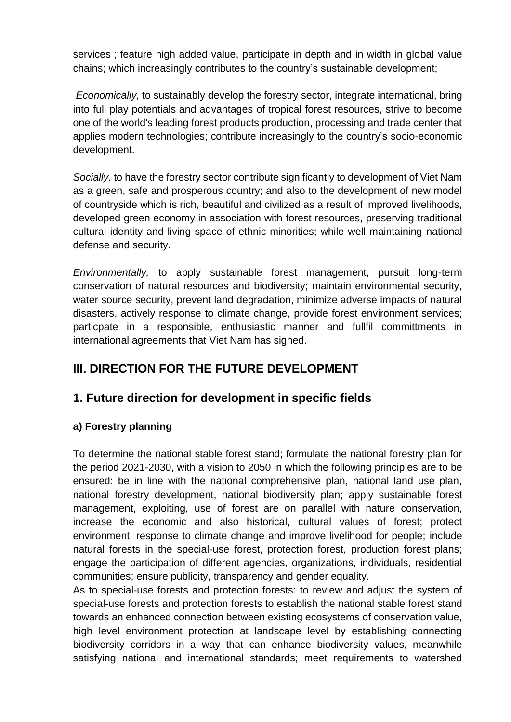services ; feature high added value, participate in depth and in width in global value chains; which increasingly contributes to the country's sustainable development;

*Economically,* to sustainably develop the forestry sector, integrate international, bring into full play potentials and advantages of tropical forest resources, strive to become one of the world's leading forest products production, processing and trade center that applies modern technologies; contribute increasingly to the country's socio-economic development.

*Socially,* to have the forestry sector contribute significantly to development of Viet Nam as a green, safe and prosperous country; and also to the development of new model of countryside which is rich, beautiful and civilized as a result of improved livelihoods, developed green economy in association with forest resources, preserving traditional cultural identity and living space of ethnic minorities; while well maintaining national defense and security.

*Environmentally,* to apply sustainable forest management, pursuit long-term conservation of natural resources and biodiversity; maintain environmental security, water source security, prevent land degradation, minimize adverse impacts of natural disasters, actively response to climate change, provide forest environment services; particpate in a responsible, enthusiastic manner and fullfil committments in international agreements that Viet Nam has signed.

### <span id="page-5-0"></span>**III. DIRECTION FOR THE FUTURE DEVELOPMENT**

### <span id="page-5-1"></span>**1. Future direction for development in specific fields**

#### <span id="page-5-2"></span>**a) Forestry planning**

To determine the national stable forest stand; formulate the national forestry plan for the period 2021-2030, with a vision to 2050 in which the following principles are to be ensured: be in line with the national comprehensive plan, national land use plan, national forestry development, national biodiversity plan; apply sustainable forest management, exploiting, use of forest are on parallel with nature conservation, increase the economic and also historical, cultural values of forest; protect environment, response to climate change and improve livelihood for people; include natural forests in the special-use forest, protection forest, production forest plans; engage the participation of different agencies, organizations, individuals, residential communities; ensure publicity, transparency and gender equality.

As to special-use forests and protection forests: to review and adjust the system of special-use forests and protection forests to establish the national stable forest stand towards an enhanced connection between existing ecosystems of conservation value, high level environment protection at landscape level by establishing connecting biodiversity corridors in a way that can enhance biodiversity values, meanwhile satisfying national and international standards; meet requirements to watershed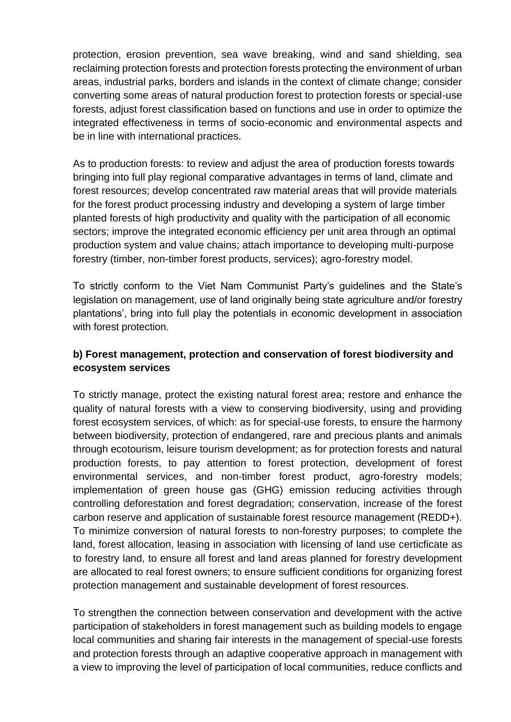protection, erosion prevention, sea wave breaking, wind and sand shielding, sea reclaiming protection forests and protection forests protecting the environment of urban areas, industrial parks, borders and islands in the context of climate change; consider converting some areas of natural production forest to protection forests or special-use forests, adjust forest classification based on functions and use in order to optimize the integrated effectiveness in terms of socio-economic and environmental aspects and be in line with international practices.

As to production forests: to review and adjust the area of production forests towards bringing into full play regional comparative advantages in terms of land, climate and forest resources; develop concentrated raw material areas that will provide materials for the forest product processing industry and developing a system of large timber planted forests of high productivity and quality with the participation of all economic sectors; improve the integrated economic efficiency per unit area through an optimal production system and value chains; attach importance to developing multi-purpose forestry (timber, non-timber forest products, services); agro-forestry model.

To strictly conform to the Viet Nam Communist Party's guidelines and the State's legislation on management, use of land originally being state agriculture and/or forestry plantations', bring into full play the potentials in economic development in association with forest protection.

#### <span id="page-6-0"></span>**b) Forest management, protection and conservation of forest biodiversity and ecosystem services**

To strictly manage, protect the existing natural forest area; restore and enhance the quality of natural forests with a view to conserving biodiversity, using and providing forest ecosystem services, of which: as for special-use forests, to ensure the harmony between biodiversity, protection of endangered, rare and precious plants and animals through ecotourism, leisure tourism development; as for protection forests and natural production forests, to pay attention to forest protection, development of forest environmental services, and non-timber forest product, agro-forestry models; implementation of green house gas (GHG) emission reducing activities through controlling deforestation and forest degradation; conservation, increase of the forest carbon reserve and application of sustainable forest resource management (REDD+). To minimize conversion of natural forests to non-forestry purposes; to complete the land, forest allocation, leasing in association with licensing of land use certicficate as to forestry land, to ensure all forest and land areas planned for forestry development are allocated to real forest owners; to ensure sufficient conditions for organizing forest protection management and sustainable development of forest resources.

To strengthen the connection between conservation and development with the active participation of stakeholders in forest management such as building models to engage local communities and sharing fair interests in the management of special-use forests and protection forests through an adaptive cooperative approach in management with a view to improving the level of participation of local communities, reduce conflicts and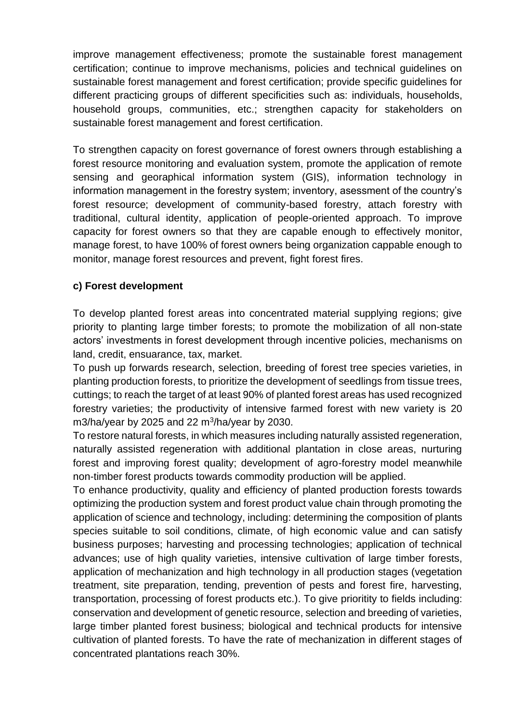improve management effectiveness; promote the sustainable forest management certification; continue to improve mechanisms, policies and technical guidelines on sustainable forest management and forest certification; provide specific guidelines for different practicing groups of different specificities such as: individuals, households, household groups, communities, etc.; strengthen capacity for stakeholders on sustainable forest management and forest certification.

To strengthen capacity on forest governance of forest owners through establishing a forest resource monitoring and evaluation system, promote the application of remote sensing and georaphical information system (GIS), information technology in information management in the forestry system; inventory, asessment of the country's forest resource; development of community-based forestry, attach forestry with traditional, cultural identity, application of people-oriented approach. To improve capacity for forest owners so that they are capable enough to effectively monitor, manage forest, to have 100% of forest owners being organization cappable enough to monitor, manage forest resources and prevent, fight forest fires.

#### <span id="page-7-0"></span>**c) Forest development**

To develop planted forest areas into concentrated material supplying regions; give priority to planting large timber forests; to promote the mobilization of all non-state actors' investments in forest development through incentive policies, mechanisms on land, credit, ensuarance, tax, market.

To push up forwards research, selection, breeding of forest tree species varieties, in planting production forests, to prioritize the development of seedlings from tissue trees, cuttings; to reach the target of at least 90% of planted forest areas has used recognized forestry varieties; the productivity of intensive farmed forest with new variety is 20 m3/ha/year by 2025 and 22 m<sup>3</sup>/ha/year by 2030.

To restore natural forests, in which measures including naturally assisted regeneration, naturally assisted regeneration with additional plantation in close areas, nurturing forest and improving forest quality; development of agro-forestry model meanwhile non-timber forest products towards commodity production will be applied.

To enhance productivity, quality and efficiency of planted production forests towards optimizing the production system and forest product value chain through promoting the application of science and technology, including: determining the composition of plants species suitable to soil conditions, climate, of high economic value and can satisfy business purposes; harvesting and processing technologies; application of technical advances; use of high quality varieties, intensive cultivation of large timber forests, application of mechanization and high technology in all production stages (vegetation treatment, site preparation, tending, prevention of pests and forest fire, harvesting, transportation, processing of forest products etc.). To give prioritity to fields including: conservation and development of genetic resource, selection and breeding of varieties, large timber planted forest business; biological and technical products for intensive cultivation of planted forests. To have the rate of mechanization in different stages of concentrated plantations reach 30%.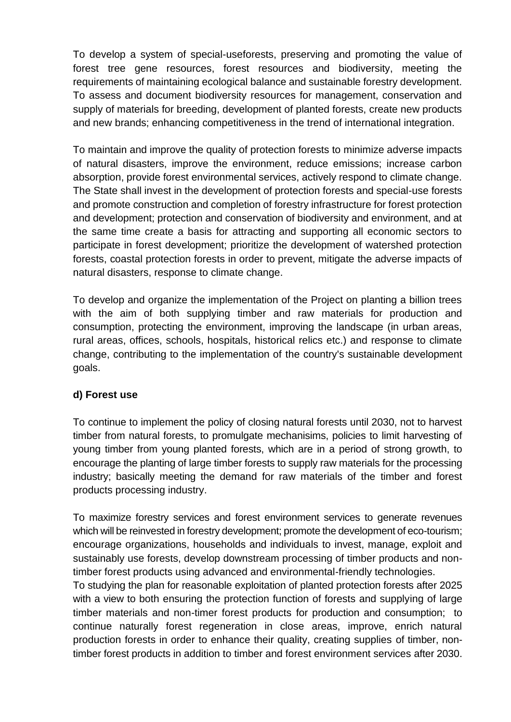To develop a system of special-useforests, preserving and promoting the value of forest tree gene resources, forest resources and biodiversity, meeting the requirements of maintaining ecological balance and sustainable forestry development. To assess and document biodiversity resources for management, conservation and supply of materials for breeding, development of planted forests, create new products and new brands; enhancing competitiveness in the trend of international integration.

To maintain and improve the quality of protection forests to minimize adverse impacts of natural disasters, improve the environment, reduce emissions; increase carbon absorption, provide forest environmental services, actively respond to climate change. The State shall invest in the development of protection forests and special-use forests and promote construction and completion of forestry infrastructure for forest protection and development; protection and conservation of biodiversity and environment, and at the same time create a basis for attracting and supporting all economic sectors to participate in forest development; prioritize the development of watershed protection forests, coastal protection forests in order to prevent, mitigate the adverse impacts of natural disasters, response to climate change.

To develop and organize the implementation of the Project on planting a billion trees with the aim of both supplying timber and raw materials for production and consumption, protecting the environment, improving the landscape (in urban areas, rural areas, offices, schools, hospitals, historical relics etc.) and response to climate change, contributing to the implementation of the country's sustainable development goals.

#### <span id="page-8-0"></span>**d) Forest use**

To continue to implement the policy of closing natural forests until 2030, not to harvest timber from natural forests, to promulgate mechanisims, policies to limit harvesting of young timber from young planted forests, which are in a period of strong growth, to encourage the planting of large timber forests to supply raw materials for the processing industry; basically meeting the demand for raw materials of the timber and forest products processing industry.

To maximize forestry services and forest environment services to generate revenues which will be reinvested in forestry development; promote the development of eco-tourism; encourage organizations, households and individuals to invest, manage, exploit and sustainably use forests, develop downstream processing of timber products and nontimber forest products using advanced and environmental-friendly technologies.

To studying the plan for reasonable exploitation of planted protection forests after 2025 with a view to both ensuring the protection function of forests and supplying of large timber materials and non-timer forest products for production and consumption; to continue naturally forest regeneration in close areas, improve, enrich natural production forests in order to enhance their quality, creating supplies of timber, nontimber forest products in addition to timber and forest environment services after 2030.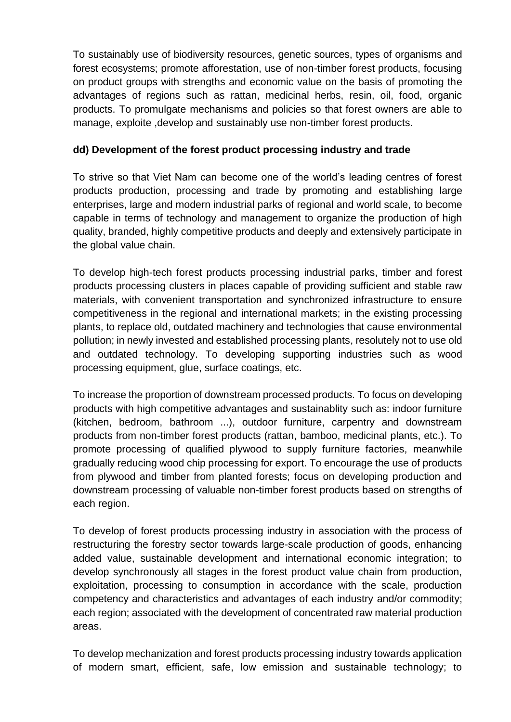To sustainably use of biodiversity resources, genetic sources, types of organisms and forest ecosystems; promote afforestation, use of non-timber forest products, focusing on product groups with strengths and economic value on the basis of promoting the advantages of regions such as rattan, medicinal herbs, resin, oil, food, organic products. To promulgate mechanisms and policies so that forest owners are able to manage, exploite ,develop and sustainably use non-timber forest products.

#### <span id="page-9-0"></span>**dd) Development of the forest product processing industry and trade**

To strive so that Viet Nam can become one of the world's leading centres of forest products production, processing and trade by promoting and establishing large enterprises, large and modern industrial parks of regional and world scale, to become capable in terms of technology and management to organize the production of high quality, branded, highly competitive products and deeply and extensively participate in the global value chain.

To develop high-tech forest products processing industrial parks, timber and forest products processing clusters in places capable of providing sufficient and stable raw materials, with convenient transportation and synchronized infrastructure to ensure competitiveness in the regional and international markets; in the existing processing plants, to replace old, outdated machinery and technologies that cause environmental pollution; in newly invested and established processing plants, resolutely not to use old and outdated technology. To developing supporting industries such as wood processing equipment, glue, surface coatings, etc.

To increase the proportion of downstream processed products. To focus on developing products with high competitive advantages and sustainablity such as: indoor furniture (kitchen, bedroom, bathroom ...), outdoor furniture, carpentry and downstream products from non-timber forest products (rattan, bamboo, medicinal plants, etc.). To promote processing of qualified plywood to supply furniture factories, meanwhile gradually reducing wood chip processing for export. To encourage the use of products from plywood and timber from planted forests; focus on developing production and downstream processing of valuable non-timber forest products based on strengths of each region.

To develop of forest products processing industry in association with the process of restructuring the forestry sector towards large-scale production of goods, enhancing added value, sustainable development and international economic integration; to develop synchronously all stages in the forest product value chain from production, exploitation, processing to consumption in accordance with the scale, production competency and characteristics and advantages of each industry and/or commodity; each region; associated with the development of concentrated raw material production areas.

To develop mechanization and forest products processing industry towards application of modern smart, efficient, safe, low emission and sustainable technology; to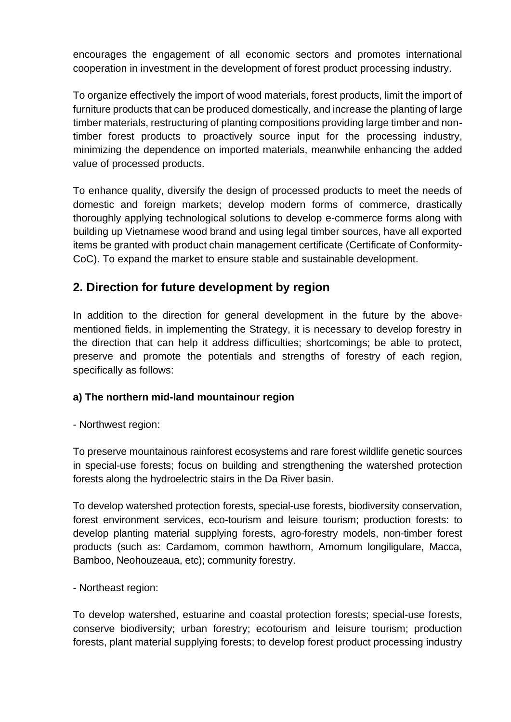encourages the engagement of all economic sectors and promotes international cooperation in investment in the development of forest product processing industry.

To organize effectively the import of wood materials, forest products, limit the import of furniture products that can be produced domestically, and increase the planting of large timber materials, restructuring of planting compositions providing large timber and nontimber forest products to proactively source input for the processing industry, minimizing the dependence on imported materials, meanwhile enhancing the added value of processed products.

To enhance quality, diversify the design of processed products to meet the needs of domestic and foreign markets; develop modern forms of commerce, drastically thoroughly applying technological solutions to develop e-commerce forms along with building up Vietnamese wood brand and using legal timber sources, have all exported items be granted with product chain management certificate (Certificate of Conformity-CoC). To expand the market to ensure stable and sustainable development.

### <span id="page-10-0"></span>**2. Direction for future development by region**

In addition to the direction for general development in the future by the abovementioned fields, in implementing the Strategy, it is necessary to develop forestry in the direction that can help it address difficulties; shortcomings; be able to protect, preserve and promote the potentials and strengths of forestry of each region, specifically as follows:

#### <span id="page-10-1"></span>**a) The northern mid-land mountainour region**

#### - Northwest region:

To preserve mountainous rainforest ecosystems and rare forest wildlife genetic sources in special-use forests; focus on building and strengthening the watershed protection forests along the hydroelectric stairs in the Da River basin.

To develop watershed protection forests, special-use forests, biodiversity conservation, forest environment services, eco-tourism and leisure tourism; production forests: to develop planting material supplying forests, agro-forestry models, non-timber forest products (such as: Cardamom, common hawthorn, Amomum longiligulare, Macca, Bamboo, Neohouzeaua, etc); community forestry.

- Northeast region:

To develop watershed, estuarine and coastal protection forests; special-use forests, conserve biodiversity; urban forestry; ecotourism and leisure tourism; production forests, plant material supplying forests; to develop forest product processing industry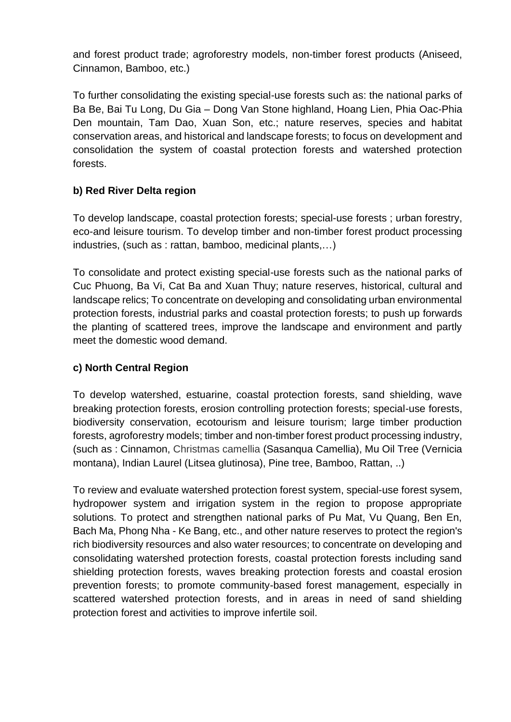and forest product trade; agroforestry models, non-timber forest products (Aniseed, Cinnamon, Bamboo, etc.)

To further consolidating the existing special-use forests such as: the national parks of Ba Be, Bai Tu Long, Du Gia – Dong Van Stone highland, Hoang Lien, Phia Oac-Phia Den mountain, Tam Dao, Xuan Son, etc.; nature reserves, species and habitat conservation areas, and historical and landscape forests; to focus on development and consolidation the system of coastal protection forests and watershed protection forests.

#### <span id="page-11-0"></span>**b) Red River Delta region**

To develop landscape, coastal protection forests; special-use forests ; urban forestry, eco-and leisure tourism. To develop timber and non-timber forest product processing industries, (such as : rattan, bamboo, medicinal plants,…)

To consolidate and protect existing special-use forests such as the national parks of Cuc Phuong, Ba Vi, Cat Ba and Xuan Thuy; nature reserves, historical, cultural and landscape relics; To concentrate on developing and consolidating urban environmental protection forests, industrial parks and coastal protection forests; to push up forwards the planting of scattered trees, improve the landscape and environment and partly meet the domestic wood demand.

#### <span id="page-11-1"></span>**c) North Central Region**

To develop watershed, estuarine, coastal protection forests, sand shielding, wave breaking protection forests, erosion controlling protection forests; special-use forests, biodiversity conservation, ecotourism and leisure tourism; large timber production forests, agroforestry models; timber and non-timber forest product processing industry, (such as : Cinnamon, Christmas camellia (Sasanqua Camellia), Mu Oil Tree (Vernicia montana), Indian Laurel (Litsea glutinosa), Pine tree, Bamboo, Rattan, ..)

To review and evaluate watershed protection forest system, special-use forest sysem, hydropower system and irrigation system in the region to propose appropriate solutions. To protect and strengthen national parks of Pu Mat, Vu Quang, Ben En, Bach Ma, Phong Nha - Ke Bang, etc., and other nature reserves to protect the region's rich biodiversity resources and also water resources; to concentrate on developing and consolidating watershed protection forests, coastal protection forests including sand shielding protection forests, waves breaking protection forests and coastal erosion prevention forests; to promote community-based forest management, especially in scattered watershed protection forests, and in areas in need of sand shielding protection forest and activities to improve infertile soil.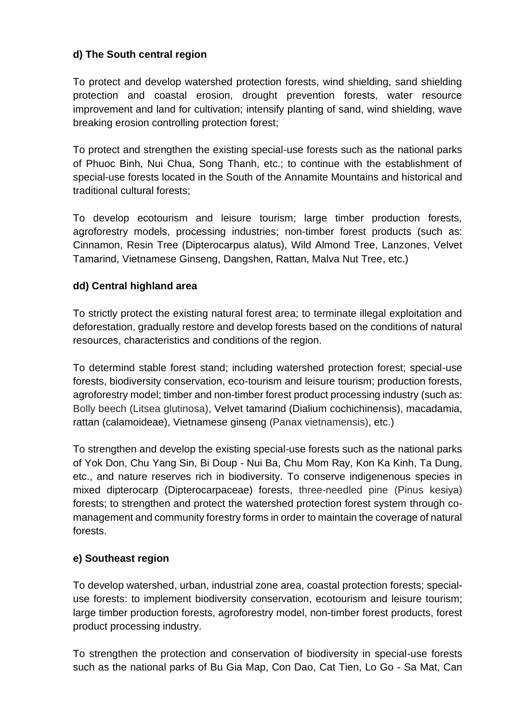#### <span id="page-12-0"></span>**d) The South central region**

To protect and develop watershed protection forests, wind shielding, sand shielding protection and coastal erosion, drought prevention forests, water resource improvement and land for cultivation; intensify planting of sand, wind shielding, wave breaking erosion controlling protection forest;

To protect and strengthen the existing special-use forests such as the national parks of Phuoc Binh, Nui Chua, Song Thanh, etc.; to continue with the establishment of special-use forests located in the South of the Annamite Mountains and historical and traditional cultural forests;

To develop ecotourism and leisure tourism; large timber production forests, agroforestry models, processing industries; non-timber forest products (such as: Cinnamon, Resin Tree (Dipterocarpus alatus), Wild Almond Tree, Lanzones, Velvet Tamarind, Vietnamese Ginseng, Dangshen, Rattan, Malva Nut Tree, etc.)

#### <span id="page-12-1"></span>**dd) Central highland area**

To strictly protect the existing natural forest area; to terminate illegal exploitation and deforestation, gradually restore and develop forests based on the conditions of natural resources, characteristics and conditions of the region.

To determind stable forest stand; including watershed protection forest; special-use forests, biodiversity conservation, eco-tourism and leisure tourism; production forests, agroforestry model; timber and non-timber forest product processing industry (such as: Bolly beech (Litsea glutinosa), Velvet tamarind (Dialium cochichinensis), macadamia, rattan (calamoideae), Vietnamese ginseng (Panax vietnamensis), etc.)

To strengthen and develop the existing special-use forests such as the national parks of Yok Don, Chu Yang Sin, Bi Doup - Nui Ba, Chu Mom Ray, Kon Ka Kinh, Ta Dung, etc., and nature reserves rich in biodiversity. To conserve indigenenous species in mixed dipterocarp (Dipterocarpaceae) forests, three-needled pine (Pinus kesiya) forests; to strengthen and protect the watershed protection forest system through comanagement and community forestry forms in order to maintain the coverage of natural forests.

#### <span id="page-12-2"></span>**e) Southeast region**

To develop watershed, urban, industrial zone area, coastal protection forests; specialuse forests: to implement biodiversity conservation, ecotourism and leisure tourism; large timber production forests, agroforestry model, non-timber forest products, forest product processing industry.

To strengthen the protection and conservation of biodiversity in special-use forests such as the national parks of Bu Gia Map, Con Dao, Cat Tien, Lo Go - Sa Mat, Can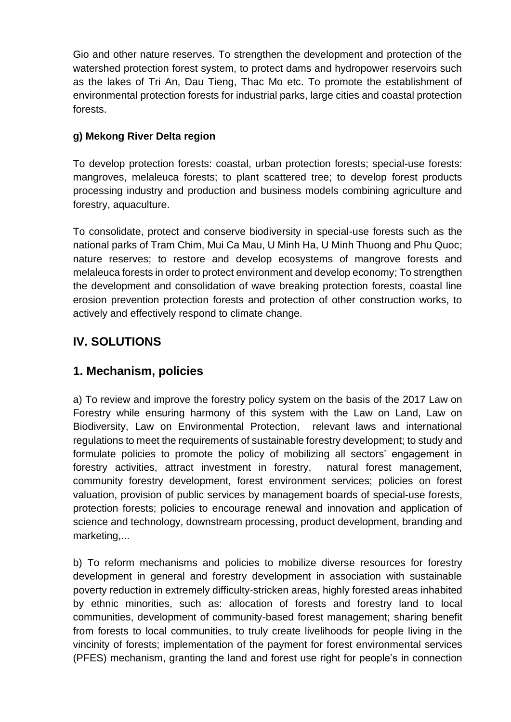Gio and other nature reserves. To strengthen the development and protection of the watershed protection forest system, to protect dams and hydropower reservoirs such as the lakes of Tri An, Dau Tieng, Thac Mo etc. To promote the establishment of environmental protection forests for industrial parks, large cities and coastal protection forests.

#### <span id="page-13-0"></span>**g) Mekong River Delta region**

To develop protection forests: coastal, urban protection forests; special-use forests: mangroves, melaleuca forests; to plant scattered tree; to develop forest products processing industry and production and business models combining agriculture and forestry, aquaculture.

To consolidate, protect and conserve biodiversity in special-use forests such as the national parks of Tram Chim, Mui Ca Mau, U Minh Ha, U Minh Thuong and Phu Quoc; nature reserves; to restore and develop ecosystems of mangrove forests and melaleuca forests in order to protect environment and develop economy; To strengthen the development and consolidation of wave breaking protection forests, coastal line erosion prevention protection forests and protection of other construction works, to actively and effectively respond to climate change.

### <span id="page-13-1"></span>**IV. SOLUTIONS**

### <span id="page-13-2"></span>**1. Mechanism, policies**

a) To review and improve the forestry policy system on the basis of the 2017 Law on Forestry while ensuring harmony of this system with the Law on Land, Law on Biodiversity, Law on Environmental Protection, relevant laws and international regulations to meet the requirements of sustainable forestry development; to study and formulate policies to promote the policy of mobilizing all sectors' engagement in forestry activities, attract investment in forestry, natural forest management, community forestry development, forest environment services; policies on forest valuation, provision of public services by management boards of special-use forests, protection forests; policies to encourage renewal and innovation and application of science and technology, downstream processing, product development, branding and marketing,...

b) To reform mechanisms and policies to mobilize diverse resources for forestry development in general and forestry development in association with sustainable poverty reduction in extremely difficulty-stricken areas, highly forested areas inhabited by ethnic minorities, such as: allocation of forests and forestry land to local communities, development of community-based forest management; sharing benefit from forests to local communities, to truly create livelihoods for people living in the vincinity of forests; implementation of the payment for forest environmental services (PFES) mechanism, granting the land and forest use right for people's in connection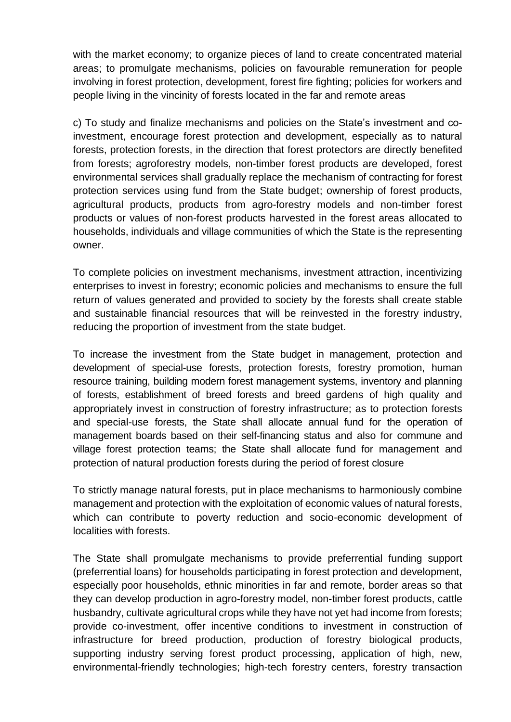with the market economy; to organize pieces of land to create concentrated material areas; to promulgate mechanisms, policies on favourable remuneration for people involving in forest protection, development, forest fire fighting; policies for workers and people living in the vincinity of forests located in the far and remote areas

c) To study and finalize mechanisms and policies on the State's investment and coinvestment, encourage forest protection and development, especially as to natural forests, protection forests, in the direction that forest protectors are directly benefited from forests; agroforestry models, non-timber forest products are developed, forest environmental services shall gradually replace the mechanism of contracting for forest protection services using fund from the State budget; ownership of forest products, agricultural products, products from agro-forestry models and non-timber forest products or values of non-forest products harvested in the forest areas allocated to households, individuals and village communities of which the State is the representing owner.

To complete policies on investment mechanisms, investment attraction, incentivizing enterprises to invest in forestry; economic policies and mechanisms to ensure the full return of values generated and provided to society by the forests shall create stable and sustainable financial resources that will be reinvested in the forestry industry, reducing the proportion of investment from the state budget.

To increase the investment from the State budget in management, protection and development of special-use forests, protection forests, forestry promotion, human resource training, building modern forest management systems, inventory and planning of forests, establishment of breed forests and breed gardens of high quality and appropriately invest in construction of forestry infrastructure; as to protection forests and special-use forests, the State shall allocate annual fund for the operation of management boards based on their self-financing status and also for commune and village forest protection teams; the State shall allocate fund for management and protection of natural production forests during the period of forest closure

To strictly manage natural forests, put in place mechanisms to harmoniously combine management and protection with the exploitation of economic values of natural forests, which can contribute to poverty reduction and socio-economic development of localities with forests.

The State shall promulgate mechanisms to provide preferrential funding support (preferrential loans) for households participating in forest protection and development, especially poor households, ethnic minorities in far and remote, border areas so that they can develop production in agro-forestry model, non-timber forest products, cattle husbandry, cultivate agricultural crops while they have not yet had income from forests; provide co-investment, offer incentive conditions to investment in construction of infrastructure for breed production, production of forestry biological products, supporting industry serving forest product processing, application of high, new, environmental-friendly technologies; high-tech forestry centers, forestry transaction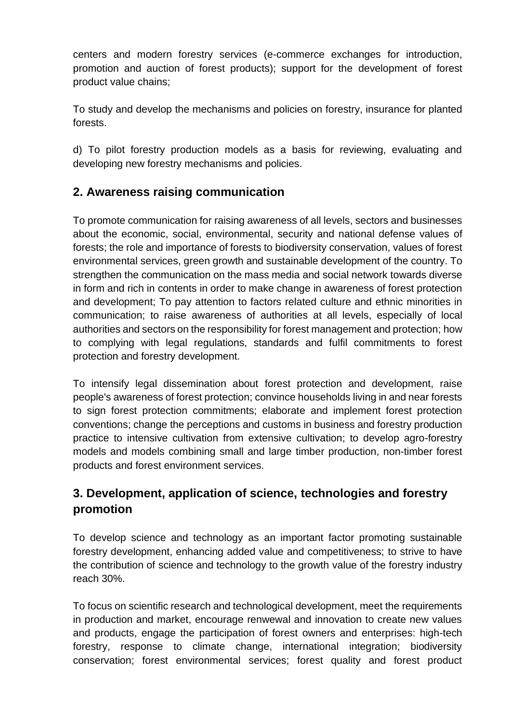centers and modern forestry services (e-commerce exchanges for introduction, promotion and auction of forest products); support for the development of forest product value chains;

To study and develop the mechanisms and policies on forestry, insurance for planted forests.

d) To pilot forestry production models as a basis for reviewing, evaluating and developing new forestry mechanisms and policies.

### <span id="page-15-0"></span>**2. Awareness raising communication**

To promote communication for raising awareness of all levels, sectors and businesses about the economic, social, environmental, security and national defense values of forests; the role and importance of forests to biodiversity conservation, values of forest environmental services, green growth and sustainable development of the country. To strengthen the communication on the mass media and social network towards diverse in form and rich in contents in order to make change in awareness of forest protection and development; To pay attention to factors related culture and ethnic minorities in communication; to raise awareness of authorities at all levels, especially of local authorities and sectors on the responsibility for forest management and protection; how to complying with legal regulations, standards and fulfil commitments to forest protection and forestry development.

To intensify legal dissemination about forest protection and development, raise people's awareness of forest protection; convince households living in and near forests to sign forest protection commitments; elaborate and implement forest protection conventions; change the perceptions and customs in business and forestry production practice to intensive cultivation from extensive cultivation; to develop agro-forestry models and models combining small and large timber production, non-timber forest products and forest environment services.

### <span id="page-15-1"></span>**3. Development, application of science, technologies and forestry promotion**

To develop science and technology as an important factor promoting sustainable forestry development, enhancing added value and competitiveness; to strive to have the contribution of science and technology to the growth value of the forestry industry reach 30%.

To focus on scientific research and technological development, meet the requirements in production and market, encourage renwewal and innovation to create new values and products, engage the participation of forest owners and enterprises: high-tech forestry, response to climate change, international integration; biodiversity conservation; forest environmental services; forest quality and forest product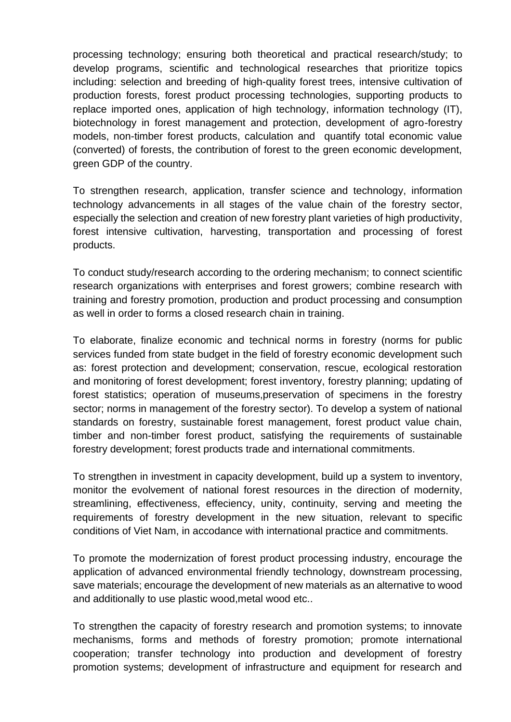processing technology; ensuring both theoretical and practical research/study; to develop programs, scientific and technological researches that prioritize topics including: selection and breeding of high-quality forest trees, intensive cultivation of production forests, forest product processing technologies, supporting products to replace imported ones, application of high technology, information technology (IT), biotechnology in forest management and protection, development of agro-forestry models, non-timber forest products, calculation and quantify total economic value (converted) of forests, the contribution of forest to the green economic development, green GDP of the country.

To strengthen research, application, transfer science and technology, information technology advancements in all stages of the value chain of the forestry sector, especially the selection and creation of new forestry plant varieties of high productivity, forest intensive cultivation, harvesting, transportation and processing of forest products.

To conduct study/research according to the ordering mechanism; to connect scientific research organizations with enterprises and forest growers; combine research with training and forestry promotion, production and product processing and consumption as well in order to forms a closed research chain in training.

To elaborate, finalize economic and technical norms in forestry (norms for public services funded from state budget in the field of forestry economic development such as: forest protection and development; conservation, rescue, ecological restoration and monitoring of forest development; forest inventory, forestry planning; updating of forest statistics; operation of museums,preservation of specimens in the forestry sector; norms in management of the forestry sector). To develop a system of national standards on forestry, sustainable forest management, forest product value chain, timber and non-timber forest product, satisfying the requirements of sustainable forestry development; forest products trade and international commitments.

To strengthen in investment in capacity development, build up a system to inventory, monitor the evolvement of national forest resources in the direction of modernity, streamlining, effectiveness, effeciency, unity, continuity, serving and meeting the requirements of forestry development in the new situation, relevant to specific conditions of Viet Nam, in accodance with international practice and commitments.

To promote the modernization of forest product processing industry, encourage the application of advanced environmental friendly technology, downstream processing, save materials; encourage the development of new materials as an alternative to wood and additionally to use plastic wood,metal wood etc..

To strengthen the capacity of forestry research and promotion systems; to innovate mechanisms, forms and methods of forestry promotion; promote international cooperation; transfer technology into production and development of forestry promotion systems; development of infrastructure and equipment for research and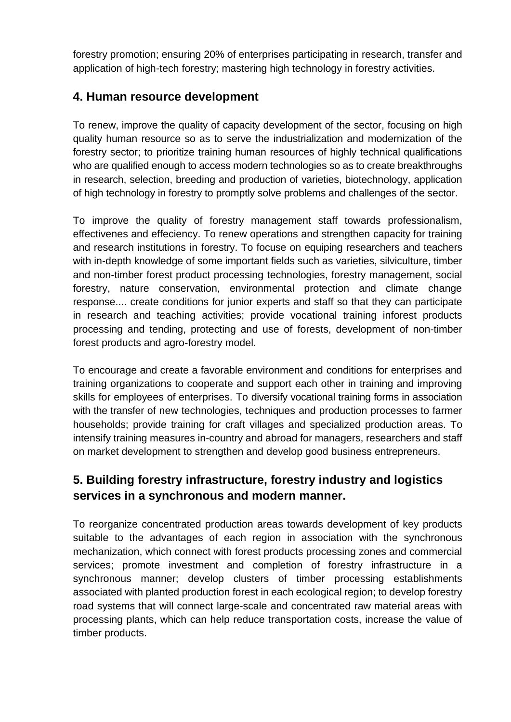forestry promotion; ensuring 20% of enterprises participating in research, transfer and application of high-tech forestry; mastering high technology in forestry activities.

### <span id="page-17-0"></span>**4. Human resource development**

To renew, improve the quality of capacity development of the sector, focusing on high quality human resource so as to serve the industrialization and modernization of the forestry sector; to prioritize training human resources of highly technical qualifications who are qualified enough to access modern technologies so as to create breakthroughs in research, selection, breeding and production of varieties, biotechnology, application of high technology in forestry to promptly solve problems and challenges of the sector.

To improve the quality of forestry management staff towards professionalism, effectivenes and effeciency. To renew operations and strengthen capacity for training and research institutions in forestry. To focuse on equiping researchers and teachers with in-depth knowledge of some important fields such as varieties, silviculture, timber and non-timber forest product processing technologies, forestry management, social forestry, nature conservation, environmental protection and climate change response.... create conditions for junior experts and staff so that they can participate in research and teaching activities; provide vocational training inforest products processing and tending, protecting and use of forests, development of non-timber forest products and agro-forestry model.

To encourage and create a favorable environment and conditions for enterprises and training organizations to cooperate and support each other in training and improving skills for employees of enterprises. To diversify vocational training forms in association with the transfer of new technologies, techniques and production processes to farmer households; provide training for craft villages and specialized production areas. To intensify training measures in-country and abroad for managers, researchers and staff on market development to strengthen and develop good business entrepreneurs.

### <span id="page-17-1"></span>**5. Building forestry infrastructure, forestry industry and logistics services in a synchronous and modern manner.**

To reorganize concentrated production areas towards development of key products suitable to the advantages of each region in association with the synchronous mechanization, which connect with forest products processing zones and commercial services; promote investment and completion of forestry infrastructure in a synchronous manner; develop clusters of timber processing establishments associated with planted production forest in each ecological region; to develop forestry road systems that will connect large-scale and concentrated raw material areas with processing plants, which can help reduce transportation costs, increase the value of timber products.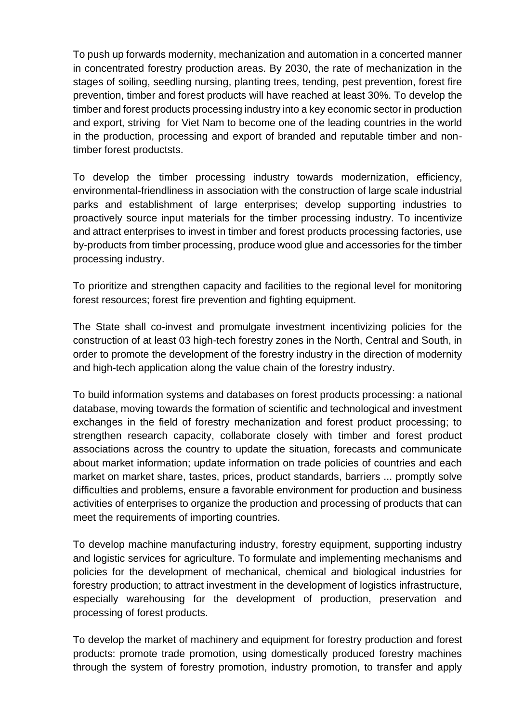To push up forwards modernity, mechanization and automation in a concerted manner in concentrated forestry production areas. By 2030, the rate of mechanization in the stages of soiling, seedling nursing, planting trees, tending, pest prevention, forest fire prevention, timber and forest products will have reached at least 30%. To develop the timber and forest products processing industry into a key economic sector in production and export, striving for Viet Nam to become one of the leading countries in the world in the production, processing and export of branded and reputable timber and nontimber forest productsts.

To develop the timber processing industry towards modernization, efficiency, environmental-friendliness in association with the construction of large scale industrial parks and establishment of large enterprises; develop supporting industries to proactively source input materials for the timber processing industry. To incentivize and attract enterprises to invest in timber and forest products processing factories, use by-products from timber processing, produce wood glue and accessories for the timber processing industry.

To prioritize and strengthen capacity and facilities to the regional level for monitoring forest resources; forest fire prevention and fighting equipment.

The State shall co-invest and promulgate investment incentivizing policies for the construction of at least 03 high-tech forestry zones in the North, Central and South, in order to promote the development of the forestry industry in the direction of modernity and high-tech application along the value chain of the forestry industry.

To build information systems and databases on forest products processing: a national database, moving towards the formation of scientific and technological and investment exchanges in the field of forestry mechanization and forest product processing; to strengthen research capacity, collaborate closely with timber and forest product associations across the country to update the situation, forecasts and communicate about market information; update information on trade policies of countries and each market on market share, tastes, prices, product standards, barriers ... promptly solve difficulties and problems, ensure a favorable environment for production and business activities of enterprises to organize the production and processing of products that can meet the requirements of importing countries.

To develop machine manufacturing industry, forestry equipment, supporting industry and logistic services for agriculture. To formulate and implementing mechanisms and policies for the development of mechanical, chemical and biological industries for forestry production; to attract investment in the development of logistics infrastructure, especially warehousing for the development of production, preservation and processing of forest products.

To develop the market of machinery and equipment for forestry production and forest products: promote trade promotion, using domestically produced forestry machines through the system of forestry promotion, industry promotion, to transfer and apply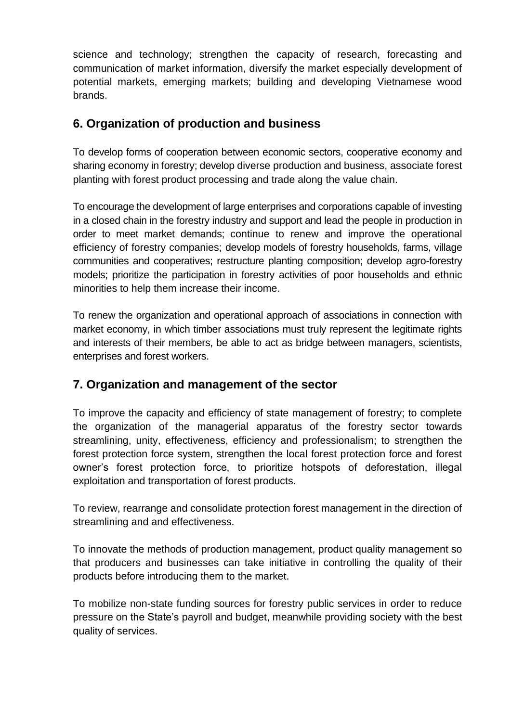science and technology; strengthen the capacity of research, forecasting and communication of market information, diversify the market especially development of potential markets, emerging markets; building and developing Vietnamese wood brands.

### <span id="page-19-0"></span>**6. Organization of production and business**

To develop forms of cooperation between economic sectors, cooperative economy and sharing economy in forestry; develop diverse production and business, associate forest planting with forest product processing and trade along the value chain.

To encourage the development of large enterprises and corporations capable of investing in a closed chain in the forestry industry and support and lead the people in production in order to meet market demands; continue to renew and improve the operational efficiency of forestry companies; develop models of forestry households, farms, village communities and cooperatives; restructure planting composition; develop agro-forestry models; prioritize the participation in forestry activities of poor households and ethnic minorities to help them increase their income.

To renew the organization and operational approach of associations in connection with market economy, in which timber associations must truly represent the legitimate rights and interests of their members, be able to act as bridge between managers, scientists, enterprises and forest workers.

### <span id="page-19-1"></span>**7. Organization and management of the sector**

To improve the capacity and efficiency of state management of forestry; to complete the organization of the managerial apparatus of the forestry sector towards streamlining, unity, effectiveness, efficiency and professionalism; to strengthen the forest protection force system, strengthen the local forest protection force and forest owner's forest protection force, to prioritize hotspots of deforestation, illegal exploitation and transportation of forest products.

To review, rearrange and consolidate protection forest management in the direction of streamlining and and effectiveness.

To innovate the methods of production management, product quality management so that producers and businesses can take initiative in controlling the quality of their products before introducing them to the market.

To mobilize non-state funding sources for forestry public services in order to reduce pressure on the State's payroll and budget, meanwhile providing society with the best quality of services.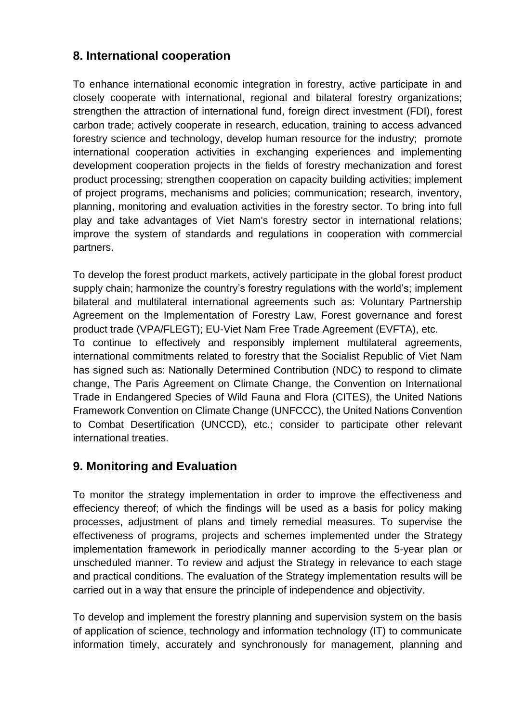### <span id="page-20-0"></span>**8. International cooperation**

To enhance international economic integration in forestry, active participate in and closely cooperate with international, regional and bilateral forestry organizations; strengthen the attraction of international fund, foreign direct investment (FDI), forest carbon trade; actively cooperate in research, education, training to access advanced forestry science and technology, develop human resource for the industry; promote international cooperation activities in exchanging experiences and implementing development cooperation projects in the fields of forestry mechanization and forest product processing; strengthen cooperation on capacity building activities; implement of project programs, mechanisms and policies; communication; research, inventory, planning, monitoring and evaluation activities in the forestry sector. To bring into full play and take advantages of Viet Nam's forestry sector in international relations; improve the system of standards and regulations in cooperation with commercial partners.

To develop the forest product markets, actively participate in the global forest product supply chain; harmonize the country's forestry regulations with the world's; implement bilateral and multilateral international agreements such as: Voluntary Partnership Agreement on the Implementation of Forestry Law, Forest governance and forest product trade (VPA/FLEGT); EU-Viet Nam Free Trade Agreement (EVFTA), etc. To continue to effectively and responsibly implement multilateral agreements, international commitments related to forestry that the Socialist Republic of Viet Nam has signed such as: Nationally Determined Contribution (NDC) to respond to climate change, The Paris Agreement on Climate Change, the Convention on International Trade in Endangered Species of Wild Fauna and Flora (CITES), the United Nations Framework Convention on Climate Change (UNFCCC), the United Nations Convention to Combat Desertification (UNCCD), etc.; consider to participate other relevant international treaties.

### <span id="page-20-1"></span>**9. Monitoring and Evaluation**

To monitor the strategy implementation in order to improve the effectiveness and effeciency thereof; of which the findings will be used as a basis for policy making processes, adjustment of plans and timely remedial measures. To supervise the effectiveness of programs, projects and schemes implemented under the Strategy implementation framework in periodically manner according to the 5-year plan or unscheduled manner. To review and adjust the Strategy in relevance to each stage and practical conditions. The evaluation of the Strategy implementation results will be carried out in a way that ensure the principle of independence and objectivity.

To develop and implement the forestry planning and supervision system on the basis of application of science, technology and information technology (IT) to communicate information timely, accurately and synchronously for management, planning and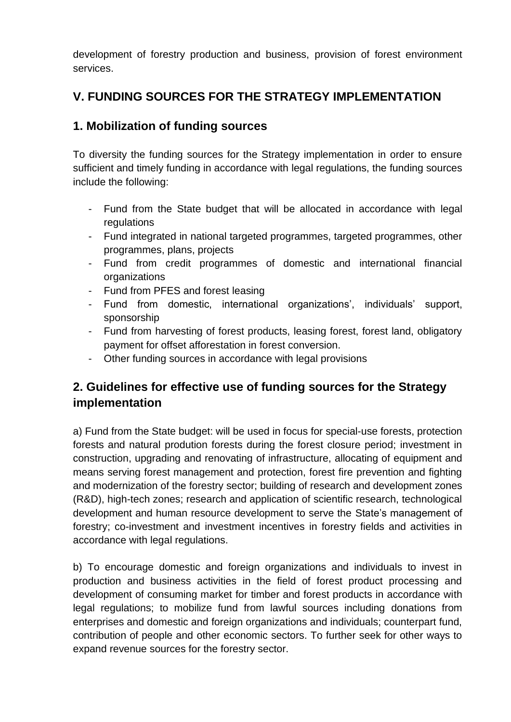development of forestry production and business, provision of forest environment services.

### <span id="page-21-0"></span>**V. FUNDING SOURCES FOR THE STRATEGY IMPLEMENTATION**

### <span id="page-21-1"></span>**1. Mobilization of funding sources**

To diversity the funding sources for the Strategy implementation in order to ensure sufficient and timely funding in accordance with legal regulations, the funding sources include the following:

- Fund from the State budget that will be allocated in accordance with legal regulations
- Fund integrated in national targeted programmes, targeted programmes, other programmes, plans, projects
- Fund from credit programmes of domestic and international financial organizations
- Fund from PFES and forest leasing
- Fund from domestic, international organizations', individuals' support, sponsorship
- Fund from harvesting of forest products, leasing forest, forest land, obligatory payment for offset afforestation in forest conversion.
- Other funding sources in accordance with legal provisions

### <span id="page-21-2"></span>**2. Guidelines for effective use of funding sources for the Strategy implementation**

a) Fund from the State budget: will be used in focus for special-use forests, protection forests and natural prodution forests during the forest closure period; investment in construction, upgrading and renovating of infrastructure, allocating of equipment and means serving forest management and protection, forest fire prevention and fighting and modernization of the forestry sector; building of research and development zones (R&D), high-tech zones; research and application of scientific research, technological development and human resource development to serve the State's management of forestry; co-investment and investment incentives in forestry fields and activities in accordance with legal regulations.

b) To encourage domestic and foreign organizations and individuals to invest in production and business activities in the field of forest product processing and development of consuming market for timber and forest products in accordance with legal regulations; to mobilize fund from lawful sources including donations from enterprises and domestic and foreign organizations and individuals; counterpart fund, contribution of people and other economic sectors. To further seek for other ways to expand revenue sources for the forestry sector.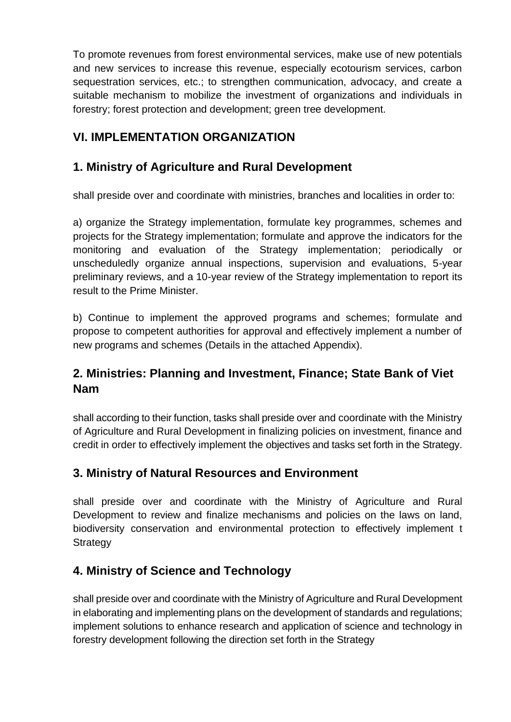To promote revenues from forest environmental services, make use of new potentials and new services to increase this revenue, especially ecotourism services, carbon sequestration services, etc.; to strengthen communication, advocacy, and create a suitable mechanism to mobilize the investment of organizations and individuals in forestry; forest protection and development; green tree development.

### <span id="page-22-0"></span>**VI. IMPLEMENTATION ORGANIZATION**

### <span id="page-22-1"></span>**1. Ministry of Agriculture and Rural Development**

shall preside over and coordinate with ministries, branches and localities in order to:

a) organize the Strategy implementation, formulate key programmes, schemes and projects for the Strategy implementation; formulate and approve the indicators for the monitoring and evaluation of the Strategy implementation; periodically or unscheduledly organize annual inspections, supervision and evaluations, 5-year preliminary reviews, and a 10-year review of the Strategy implementation to report its result to the Prime Minister.

b) Continue to implement the approved programs and schemes; formulate and propose to competent authorities for approval and effectively implement a number of new programs and schemes (Details in the attached Appendix).

### <span id="page-22-2"></span>**2. Ministries: Planning and Investment, Finance; State Bank of Viet Nam**

shall according to their function, tasks shall preside over and coordinate with the Ministry of Agriculture and Rural Development in finalizing policies on investment, finance and credit in order to effectively implement the objectives and tasks set forth in the Strategy.

### <span id="page-22-3"></span>**3. Ministry of Natural Resources and Environment**

shall preside over and coordinate with the Ministry of Agriculture and Rural Development to review and finalize mechanisms and policies on the laws on land, biodiversity conservation and environmental protection to effectively implement t **Strategy** 

### <span id="page-22-4"></span>**4. Ministry of Science and Technology**

shall preside over and coordinate with the Ministry of Agriculture and Rural Development in elaborating and implementing plans on the development of standards and regulations; implement solutions to enhance research and application of science and technology in forestry development following the direction set forth in the Strategy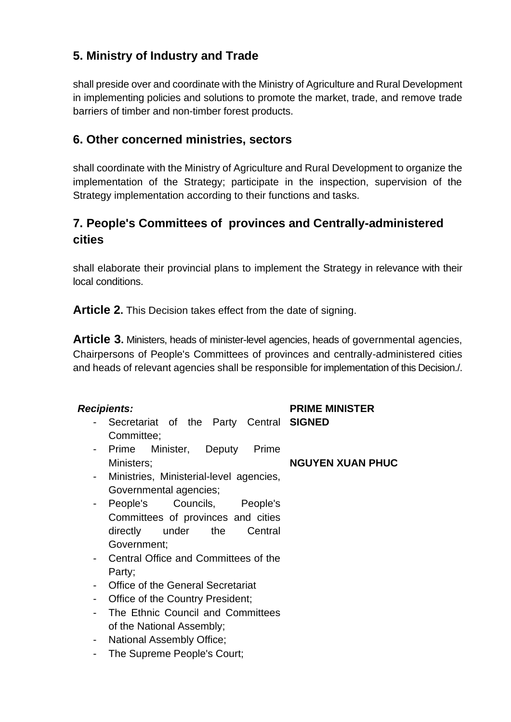### <span id="page-23-0"></span>**5. Ministry of Industry and Trade**

shall preside over and coordinate with the Ministry of Agriculture and Rural Development in implementing policies and solutions to promote the market, trade, and remove trade barriers of timber and non-timber forest products.

### <span id="page-23-1"></span>**6. Other concerned ministries, sectors**

shall coordinate with the Ministry of Agriculture and Rural Development to organize the implementation of the Strategy; participate in the inspection, supervision of the Strategy implementation according to their functions and tasks.

### <span id="page-23-2"></span>**7. People's Committees of provinces and Centrally-administered cities**

shall elaborate their provincial plans to implement the Strategy in relevance with their local conditions.

<span id="page-23-3"></span>**Article 2.** This Decision takes effect from the date of signing.

<span id="page-23-4"></span>**Article 3.** Ministers, heads of minister-level agencies, heads of governmental agencies, Chairpersons of People's Committees of provinces and centrally-administered cities and heads of relevant agencies shall be responsible for implementation of this Decision./.

#### *Recipients:*

- Secretariat of the Party Central **SIGNED** Committee;
- Prime Minister, Deputy Prime Ministers;
- Ministries, Ministerial-level agencies, Governmental agencies;
- People's Councils, People's Committees of provinces and cities directly under the Central Government;
- Central Office and Committees of the Party;
- Office of the General Secretariat
- Office of the Country President;
- The Ethnic Council and Committees of the National Assembly;
- National Assembly Office;
- The Supreme People's Court;

**PRIME MINISTER** 

#### **NGUYEN XUAN PHUC**